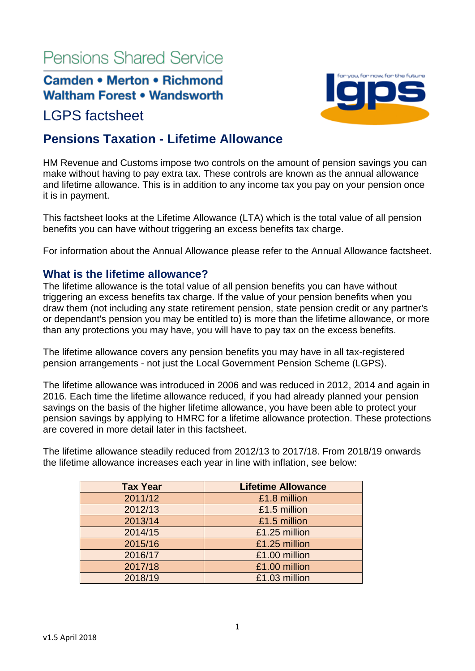# **Pensions Shared Service**

## **Camden • Merton • Richmond Waltham Forest . Wandsworth**

## LGPS factsheet

## **Pensions Taxation - Lifetime Allowance**

HM Revenue and Customs impose two controls on the amount of pension savings you can make without having to pay extra tax. These controls are known as the annual allowance and lifetime allowance. This is in addition to any income tax you pay on your pension once it is in payment.

This factsheet looks at the Lifetime Allowance (LTA) which is the total value of all pension benefits you can have without triggering an excess benefits tax charge.

For information about the Annual Allowance please refer to the Annual Allowance factsheet.

## **What is the lifetime allowance?**

The lifetime allowance is the total value of all pension benefits you can have without triggering an excess benefits tax charge. If the value of your pension benefits when you draw them (not including any state retirement pension, state pension credit or any partner's or dependant's pension you may be entitled to) is more than the lifetime allowance, or more than any protections you may have, you will have to pay tax on the excess benefits.

The lifetime allowance covers any pension benefits you may have in all tax-registered pension arrangements - not just the Local Government Pension Scheme (LGPS).

The lifetime allowance was introduced in 2006 and was reduced in 2012, 2014 and again in 2016. Each time the lifetime allowance reduced, if you had already planned your pension savings on the basis of the higher lifetime allowance, you have been able to protect your pension savings by applying to HMRC for a lifetime allowance protection. These protections are covered in more detail later in this factsheet.

The lifetime allowance steadily reduced from 2012/13 to 2017/18. From 2018/19 onwards the lifetime allowance increases each year in line with inflation, see below:

| <b>Tax Year</b> | <b>Lifetime Allowance</b> |
|-----------------|---------------------------|
| 2011/12         | £1.8 million              |
| 2012/13         | £1.5 million              |
| 2013/14         | £1.5 million              |
| 2014/15         | £1.25 million             |
| 2015/16         | £1.25 million             |
| 2016/17         | £1.00 million             |
| 2017/18         | £1.00 million             |
| 2018/19         | £1.03 million             |

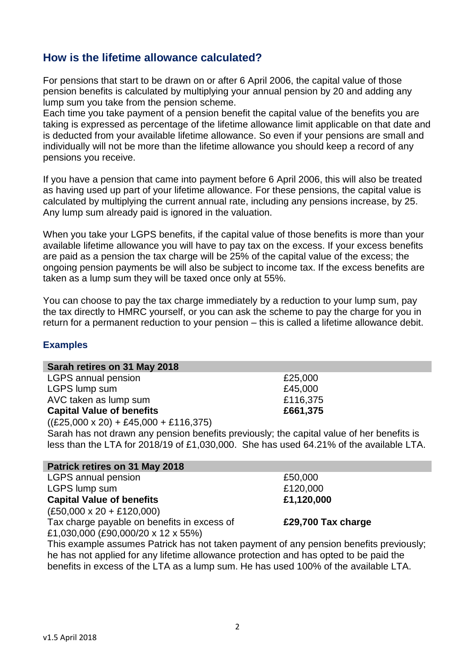## **How is the lifetime allowance calculated?**

For pensions that start to be drawn on or after 6 April 2006, the capital value of those pension benefits is calculated by multiplying your annual pension by 20 and adding any lump sum you take from the pension scheme.

Each time you take payment of a pension benefit the capital value of the benefits you are taking is expressed as percentage of the lifetime allowance limit applicable on that date and is deducted from your available lifetime allowance. So even if your pensions are small and individually will not be more than the lifetime allowance you should keep a record of any pensions you receive.

If you have a pension that came into payment before 6 April 2006, this will also be treated as having used up part of your lifetime allowance. For these pensions, the capital value is calculated by multiplying the current annual rate, including any pensions increase, by 25. Any lump sum already paid is ignored in the valuation.

When you take your LGPS benefits, if the capital value of those benefits is more than your available lifetime allowance you will have to pay tax on the excess. If your excess benefits are paid as a pension the tax charge will be 25% of the capital value of the excess; the ongoing pension payments be will also be subject to income tax. If the excess benefits are taken as a lump sum they will be taxed once only at 55%.

You can choose to pay the tax charge immediately by a reduction to your lump sum, pay the tax directly to HMRC yourself, or you can ask the scheme to pay the charge for you in return for a permanent reduction to your pension – this is called a lifetime allowance debit.

#### **Examples**

#### **Sarah retires on 31 May 2018**

LGPS annual pension **E25,000** LGPS lump sum  $£45,000$ AVC taken as lump sum **E116,375 Capital Value of benefits E661,375** 

 $((£25,000 \times 20) + £45,000 + £116,375)$ 

Sarah has not drawn any pension benefits previously; the capital value of her benefits is less than the LTA for 2018/19 of £1,030,000. She has used 64.21% of the available LTA.

#### **Patrick retires on 31 May 2018**

LGPS annual pension and the set of the set of the set of the set of the set of the set of the set of the set of the set of the set of the set of the set of the set of the set of the set of the set of the set of the set of LGPS lump sum  $£120,000$ **Capital Value of benefits £1,120,000** (£50,000 x 20 + £120,000) Tax charge payable on benefits in excess of £1,030,000 (£90,000/20 x 12 x 55%)

This example assumes Patrick has not taken payment of any pension benefits previously; he has not applied for any lifetime allowance protection and has opted to be paid the benefits in excess of the LTA as a lump sum. He has used 100% of the available LTA.

**£29,700 Tax charge**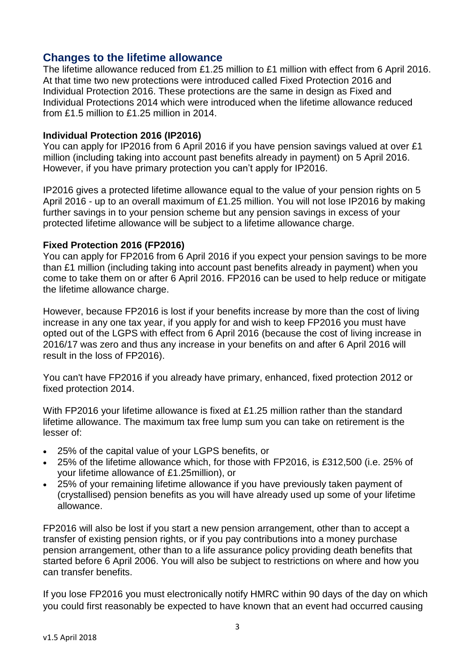## **Changes to the lifetime allowance**

The lifetime allowance reduced from £1.25 million to £1 million with effect from 6 April 2016. At that time two new protections were introduced called Fixed Protection 2016 and Individual Protection 2016. These protections are the same in design as Fixed and Individual Protections 2014 which were introduced when the lifetime allowance reduced from £1.5 million to £1.25 million in 2014.

#### **Individual Protection 2016 (IP2016)**

You can apply for IP2016 from 6 April 2016 if you have pension savings valued at over £1 million (including taking into account past benefits already in payment) on 5 April 2016. However, if you have primary protection you can't apply for IP2016.

IP2016 gives a protected lifetime allowance equal to the value of your pension rights on 5 April 2016 - up to an overall maximum of £1.25 million. You will not lose IP2016 by making further savings in to your pension scheme but any pension savings in excess of your protected lifetime allowance will be subject to a lifetime allowance charge.

#### **Fixed Protection 2016 (FP2016)**

You can apply for FP2016 from 6 April 2016 if you expect your pension savings to be more than £1 million (including taking into account past benefits already in payment) when you come to take them on or after 6 April 2016. FP2016 can be used to help reduce or mitigate the lifetime allowance charge.

However, because FP2016 is lost if your benefits increase by more than the cost of living increase in any one tax year, if you apply for and wish to keep FP2016 you must have opted out of the LGPS with effect from 6 April 2016 (because the cost of living increase in 2016/17 was zero and thus any increase in your benefits on and after 6 April 2016 will result in the loss of FP2016).

You can't have FP2016 if you already have primary, enhanced, fixed protection 2012 or fixed protection 2014.

With FP2016 your lifetime allowance is fixed at £1.25 million rather than the standard lifetime allowance. The maximum tax free lump sum you can take on retirement is the lesser of:

- 25% of the capital value of your LGPS benefits, or
- 25% of the lifetime allowance which, for those with FP2016, is £312,500 (i.e. 25% of your lifetime allowance of £1.25million), or
- 25% of your remaining lifetime allowance if you have previously taken payment of (crystallised) pension benefits as you will have already used up some of your lifetime allowance.

FP2016 will also be lost if you start a new pension arrangement, other than to accept a transfer of existing pension rights, or if you pay contributions into a money purchase pension arrangement, other than to a life assurance policy providing death benefits that started before 6 April 2006. You will also be subject to restrictions on where and how you can transfer benefits.

If you lose FP2016 you must electronically notify HMRC within 90 days of the day on which you could first reasonably be expected to have known that an event had occurred causing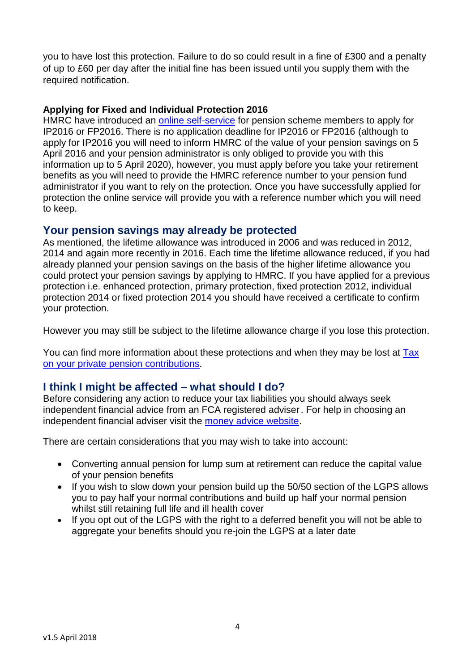you to have lost this protection. Failure to do so could result in a fine of £300 and a penalty of up to £60 per day after the initial fine has been issued until you supply them with the required notification.

#### **Applying for Fixed and Individual Protection 2016**

HMRC have introduced an [online self-service](https://www.gov.uk/guidance/pension-schemes-protect-your-lifetime-allowance) for pension scheme members to apply for IP2016 or FP2016. There is no application deadline for IP2016 or FP2016 (although to apply for IP2016 you will need to inform HMRC of the value of your pension savings on 5 April 2016 and your pension administrator is only obliged to provide you with this information up to 5 April 2020), however, you must apply before you take your retirement benefits as you will need to provide the HMRC reference number to your pension fund administrator if you want to rely on the protection. Once you have successfully applied for protection the online service will provide you with a reference number which you will need to keep.

## **Your pension savings may already be protected**

As mentioned, the lifetime allowance was introduced in 2006 and was reduced in 2012, 2014 and again more recently in 2016. Each time the lifetime allowance reduced, if you had already planned your pension savings on the basis of the higher lifetime allowance you could protect your pension savings by applying to HMRC. If you have applied for a previous protection i.e. enhanced protection, primary protection, fixed protection 2012, individual protection 2014 or fixed protection 2014 you should have received a certificate to confirm your protection.

However you may still be subject to the lifetime allowance charge if you lose this protection.

You can find more information about these protections and when they may be lost at [Tax](https://www.gov.uk/tax-on-your-private-pension/lifetime-allowance)  [on your private pension contributions](https://www.gov.uk/tax-on-your-private-pension/lifetime-allowance).

## **I think I might be affected – what should I do?**

Before considering any action to reduce your tax liabilities you should always seek independent financial advice from an FCA registered adviser. For help in choosing an independent financial adviser visit the [money advice website.](https://www.moneyadviceservice.org.uk/en/articles/choosing-a-financial-adviser)

There are certain considerations that you may wish to take into account:

- Converting annual pension for lump sum at retirement can reduce the capital value of your pension benefits
- If you wish to slow down your pension build up the 50/50 section of the LGPS allows you to pay half your normal contributions and build up half your normal pension whilst still retaining full life and ill health cover
- If you opt out of the LGPS with the right to a deferred benefit you will not be able to aggregate your benefits should you re-join the LGPS at a later date